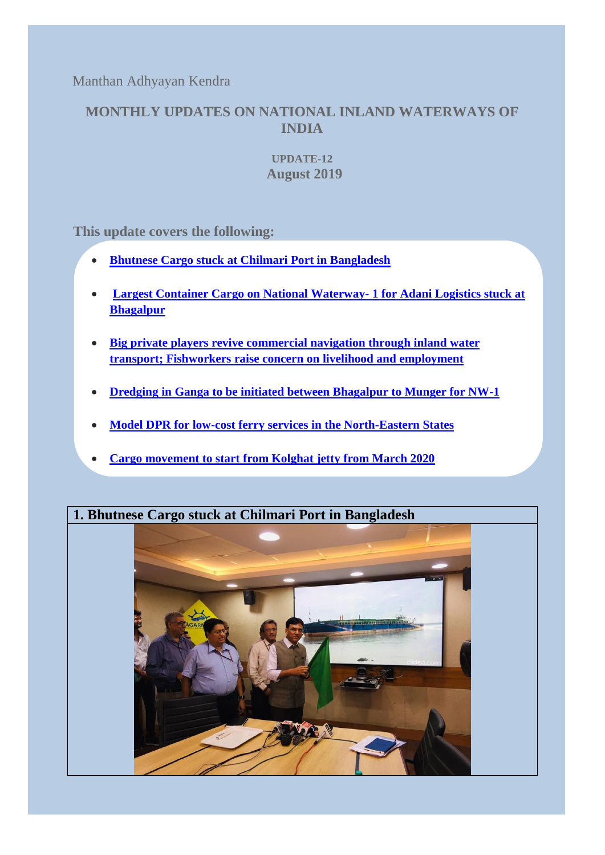Manthan Adhyayan Kendra

## **MONTHLY UPDATES ON NATIONAL INLAND WATERWAYS OF INDIA**

#### **UPDATE-12 August 2019**

**This update covers the following:** 

- **Bhutnese Cargo stuck [at Chilmari Port in Bangladesh](#page-0-0)**
- **[Largest Container Cargo on National Waterway-](#page-1-0) 1 for Adani Logistics stuck at [Bhagalpur](#page-1-0)**
- **[Big private players revive commercial navigation through inland water](#page-2-0)  transport; Fishworkers [raise concern on livelihood and employment](#page-2-0)**
- **[Dredging in Ganga to be initiated between Bhagalpur to Munger for NW-1](#page-2-1)**
- **[Model DPR for low-cost ferry services in the North-Eastern States](#page-3-0)**
- **[Cargo movement to start from Kolghat jetty from March 2020](#page-4-0)**

# <span id="page-0-0"></span>**1. Bhutnese Cargo stuck at Chilmari Port in Bangladesh**

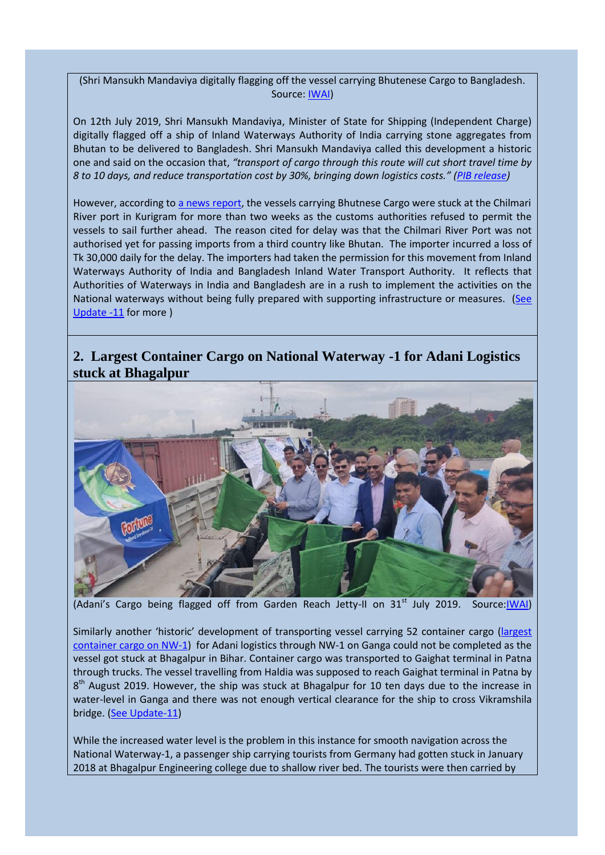(Shri Mansukh Mandaviya digitally flagging off the vessel carrying Bhutenese Cargo to Bangladesh. Source: [IWAI\)](https://www.facebook.com/239604849793692/photos/pcb.696463220774517/696463090774530/?type=3&theater)

On 12th July 2019, Shri Mansukh Mandaviya, Minister of State for Shipping (Independent Charge) digitally flagged off a ship of Inland Waterways Authority of India carrying stone aggregates from Bhutan to be delivered to Bangladesh. Shri Mansukh Mandaviya called this development a historic one and said on the occasion that, *"transport of cargo through this route will cut short travel time by 8 to 10 days, and reduce transportation cost by 30%, bringing down logistics costs." [\(PIB release\)](https://pib.gov.in/newsite/PrintRelease.aspx?relid=191648)*

However, according to [a news report,](https://www.thedailystar.net/country/news/500-tonnes-bhutanese-stones-stuck-chilmari-river-port-1785853) the vessels carrying Bhutnese Cargo were stuck at the Chilmari River port in Kurigram for more than two weeks as the customs authorities refused to permit the vessels to sail further ahead. The reason cited for delay was that the Chilmari River Port was not authorised yet for passing imports from a third country like Bhutan. The importer incurred a loss of Tk 30,000 daily for the delay. The importers had taken the permission for this movement from Inland Waterways Authority of India and Bangladesh Inland Water Transport Authority. It reflects that Authorities of Waterways in India and Bangladesh are in a rush to implement the activities on the National waterways without being fully prepared with supporting infrastructure or measures. (See [Update -11](https://www.manthan-india.org/monthly-updates-on-national-inland-waterways-of-india-update-11-developments-in-july-2019/) for more )

#### <span id="page-1-0"></span>**2. Largest Container Cargo on National Waterway -1 for Adani Logistics stuck at Bhagalpur**



(Adani's Cargo being flagged off from Garden Reach Jetty-II on 31<sup>st</sup> July 2019. Source: IWAI

Similarly another 'historic' development of transporting vessel carrying 52 container cargo [\(largest](https://www.theweek.in/wire-updates/business/2019/07/30/ccm8-biz-adani-cargo.html)  container [cargo on NW-1\)](https://www.theweek.in/wire-updates/business/2019/07/30/ccm8-biz-adani-cargo.html) for Adani logistics through NW-1 on Ganga could not be completed as the vessel got stuck at Bhagalpur in Bihar. Container cargo was transported to Gaighat terminal in Patna through trucks. The vessel travelling from Haldia was supposed to reach Gaighat terminal in Patna by 8<sup>th</sup> August 2019. However, the ship was stuck at Bhagalpur for 10 ten days due to the increase in water-level in Ganga and there was not enough vertical clearance for the ship to cross Vikramshila bridge. [\(See Update-11\)](https://www.manthan-india.org/monthly-updates-on-national-inland-waterways-of-india-update-11-developments-in-july-2019/)

While the increased water level is the problem in this instance for smooth navigation across the National Waterway-1, a passenger ship carrying tourists from Germany had gotten stuck in January 2018 at Bhagalpur Engineering college due to shallow river bed. The tourists were then carried by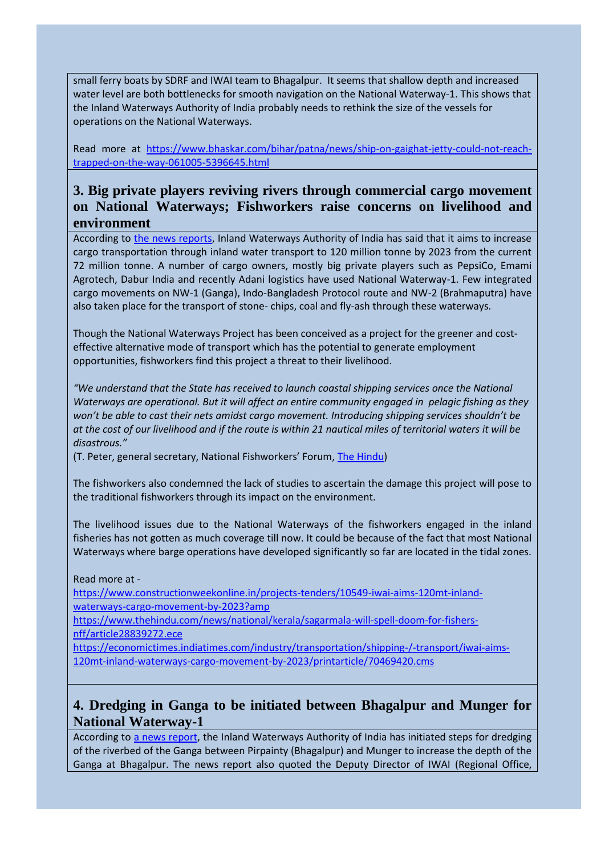small ferry boats by SDRF and IWAI team to Bhagalpur. It seems that shallow depth and increased water level are both bottlenecks for smooth navigation on the National Waterway-1. This shows that the Inland Waterways Authority of India probably needs to rethink the size of the vessels for operations on the National Waterways.

Read more at [https://www.bhaskar.com/bihar/patna/news/ship-on-gaighat-jetty-could-not-reach](https://www.bhaskar.com/bihar/patna/news/ship-on-gaighat-jetty-could-not-reach-trapped-on-the-way-061005-5396645.html)[trapped-on-the-way-061005-5396645.html](https://www.bhaskar.com/bihar/patna/news/ship-on-gaighat-jetty-could-not-reach-trapped-on-the-way-061005-5396645.html)

## <span id="page-2-0"></span>**3. Big private players reviving rivers through commercial cargo movement on National Waterways; Fishworkers raise concerns on livelihood and environment**

According to [the news reports,](http://www.millenniumpost.in/kolkata/iwai-flags-off-vessel-eyes-cargo-transportation-hike-366606) Inland Waterways Authority of India has said that it aims to increase cargo transportation through inland water transport to 120 million tonne by 2023 from the current 72 million tonne. A number of cargo owners, mostly big private players such as PepsiCo, Emami Agrotech, Dabur India and recently Adani logistics have used National Waterway-1. Few integrated cargo movements on NW-1 (Ganga), Indo-Bangladesh Protocol route and NW-2 (Brahmaputra) have also taken place for the transport of stone- chips, coal and fly-ash through these waterways.

Though the National Waterways Project has been conceived as a project for the greener and costeffective alternative mode of transport which has the potential to generate employment opportunities, fishworkers find this project a threat to their livelihood.

*"We understand that the State has received to launch coastal shipping services once the National Waterways are operational. But it will affect an entire community engaged in pelagic fishing as they won't be able to cast their nets amidst cargo movement. Introducing shipping services shouldn't be at the cost of our livelihood and if the route is within 21 nautical miles of territorial waters it will be disastrous."* 

(T. Peter, general secretary, National Fishworkers' Forum, [The Hindu\)](https://www.thehindu.com/news/national/kerala/sagarmala-will-spell-doom-for-fishers-nff/article28839272.ece)

The fishworkers also condemned the lack of studies to ascertain the damage this project will pose to the traditional fishworkers through its impact on the environment.

The livelihood issues due to the National Waterways of the fishworkers engaged in the inland fisheries has not gotten as much coverage till now. It could be because of the fact that most National Waterways where barge operations have developed significantly so far are located in the tidal zones.

Read more at -

[https://www.constructionweekonline.in/projects-tenders/10549-iwai-aims-120mt-inland](https://www.constructionweekonline.in/projects-tenders/10549-iwai-aims-120mt-inland-waterways-cargo-movement-by-2023?amp)[waterways-cargo-movement-by-2023?amp](https://www.constructionweekonline.in/projects-tenders/10549-iwai-aims-120mt-inland-waterways-cargo-movement-by-2023?amp)

[https://www.thehindu.com/news/national/kerala/sagarmala-will-spell-doom-for-fishers](https://www.thehindu.com/news/national/kerala/sagarmala-will-spell-doom-for-fishers-nff/article28839272.ece)[nff/article28839272.ece](https://www.thehindu.com/news/national/kerala/sagarmala-will-spell-doom-for-fishers-nff/article28839272.ece)

[https://economictimes.indiatimes.com/industry/transportation/shipping-/-transport/iwai-aims-](https://economictimes.indiatimes.com/industry/transportation/shipping-/-transport/iwai-aims-120mt-inland-waterways-cargo-movement-by-2023/printarticle/70469420.cms)[120mt-inland-waterways-cargo-movement-by-2023/printarticle/70469420.cms](https://economictimes.indiatimes.com/industry/transportation/shipping-/-transport/iwai-aims-120mt-inland-waterways-cargo-movement-by-2023/printarticle/70469420.cms)

## <span id="page-2-1"></span>**4. Dredging in Ganga to be initiated between Bhagalpur and Munger for National Waterway-1**

According to [a news report,](https://timesofindia.indiatimes.com/city/patna/move-to-start-dredging-work-at-ganga-riverbed/articleshow/70610529.cms) the Inland Waterways Authority of India has initiated steps for dredging of the riverbed of the Ganga between Pirpainty (Bhagalpur) and Munger to increase the depth of the Ganga at Bhagalpur. The news report also quoted the Deputy Director of IWAI (Regional Office,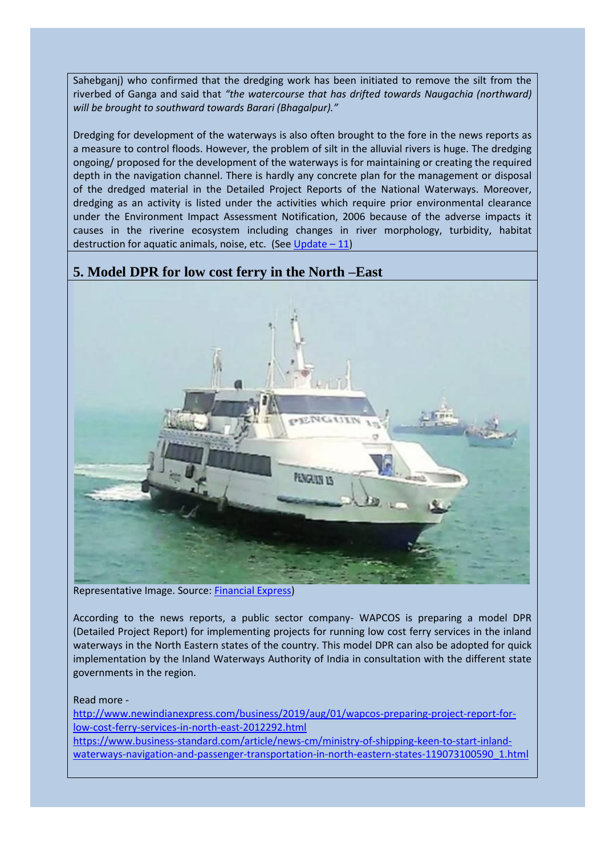Sahebganj) who confirmed that the dredging work has been initiated to remove the silt from the riverbed of Ganga and said that *"the watercourse that has drifted towards Naugachia (northward) will be brought to southward towards Barari (Bhagalpur)."*

Dredging for development of the waterways is also often brought to the fore in the news reports as a measure to control floods. However, the problem of silt in the alluvial rivers is huge. The dredging ongoing/ proposed for the development of the waterways is for maintaining or creating the required depth in the navigation channel. There is hardly any concrete plan for the management or disposal of the dredged material in the Detailed Project Reports of the National Waterways. Moreover, dredging as an activity is listed under the activities which require prior environmental clearance under the Environment Impact Assessment Notification, 2006 because of the adverse impacts it causes in the riverine ecosystem including changes in river morphology, turbidity, habitat destruction for aquatic animals, noise, etc. (See [Update](https://www.manthan-india.org/wp-content/uploads/2019/08/July-2019-Manthan-Monthly-update.pdf)  $-11$ )

## <span id="page-3-0"></span>**5. Model DPR for low cost ferry in the North –East**



Representative Image. Source: **Financial Express**)

According to the news reports, a public sector company- WAPCOS is preparing a model DPR (Detailed Project Report) for implementing projects for running low cost ferry services in the inland waterways in the North Eastern states of the country. This model DPR can also be adopted for quick implementation by the Inland Waterways Authority of India in consultation with the different state governments in the region.

#### Read more -

[http://www.newindianexpress.com/business/2019/aug/01/wapcos-preparing-project-report-for](http://www.newindianexpress.com/business/2019/aug/01/wapcos-preparing-project-report-for-low-cost-ferry-services-in-north-east-2012292.html)[low-cost-ferry-services-in-north-east-2012292.html](http://www.newindianexpress.com/business/2019/aug/01/wapcos-preparing-project-report-for-low-cost-ferry-services-in-north-east-2012292.html) [https://www.business-standard.com/article/news-cm/ministry-of-shipping-keen-to-start-inland](https://www.business-standard.com/article/news-cm/ministry-of-shipping-keen-to-start-inland-waterways-navigation-and-passenger-transportation-in-north-eastern-states-119073100590_1.html)[waterways-navigation-and-passenger-transportation-in-north-eastern-states-119073100590\\_1.html](https://www.business-standard.com/article/news-cm/ministry-of-shipping-keen-to-start-inland-waterways-navigation-and-passenger-transportation-in-north-eastern-states-119073100590_1.html)